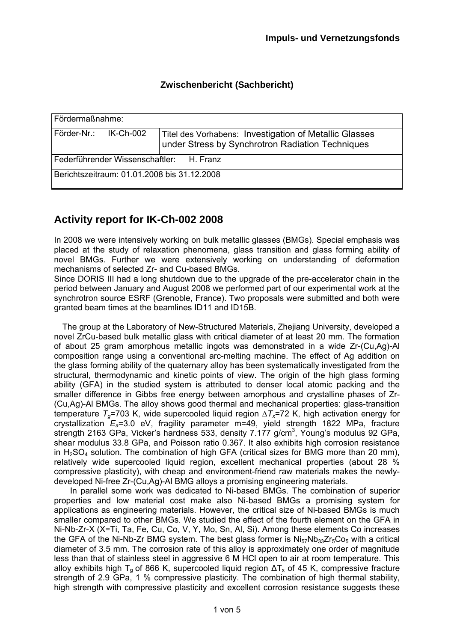## **Zwischenbericht (Sachbericht)**

| Fördermaßnahme:                                    |  |                                                                                                            |
|----------------------------------------------------|--|------------------------------------------------------------------------------------------------------------|
| Förder-Nr.: IK-Ch-002                              |  | Titel des Vorhabens: Investigation of Metallic Glasses<br>under Stress by Synchrotron Radiation Techniques |
| Federführender Wissenschaftler:<br><b>H. Franz</b> |  |                                                                                                            |
| Berichtszeitraum: 01.01.2008 bis 31.12.2008        |  |                                                                                                            |

## **Activity report for IK-Ch-002 2008**

In 2008 we were intensively working on bulk metallic glasses (BMGs). Special emphasis was placed at the study of relaxation phenomena, glass transition and glass forming ability of novel BMGs. Further we were extensively working on understanding of deformation mechanisms of selected Zr- and Cu-based BMGs.

Since DORIS III had a long shutdown due to the upgrade of the pre-accelerator chain in the period between January and August 2008 we performed part of our experimental work at the synchrotron source ESRF (Grenoble, France). Two proposals were submitted and both were granted beam times at the beamlines ID11 and ID15B.

The group at the Laboratory of New-Structured Materials, Zhejiang University, developed a novel ZrCu-based bulk metallic glass with critical diameter of at least 20 mm. The formation of about 25 gram amorphous metallic ingots was demonstrated in a wide Zr-(Cu,Ag)-Al composition range using a conventional arc-melting machine. The effect of Ag addition on the glass forming ability of the quaternary alloy has been systematically investigated from the structural, thermodynamic and kinetic points of view. The origin of the high glass forming ability (GFA) in the studied system is attributed to denser local atomic packing and the smaller difference in Gibbs free energy between amorphous and crystalline phases of Zr- (Cu,Ag)-Al BMGs. The alloy shows good thermal and mechanical properties: glass-transition temperature *Tg*=703 K, wide supercooled liquid region *∆Tx*=72 K, high activation energy for crystallization *Ea*=3.0 eV, fragility parameter m=49, yield strength 1822 MPa, fracture strength 2163 GPa, Vicker's hardness 533, density  $7.177$  g/cm<sup>3</sup>, Young's modulus 92 GPa, shear modulus 33.8 GPa, and Poisson ratio 0.367. It also exhibits high corrosion resistance in  $H_2SO_4$  solution. The combination of high GFA (critical sizes for BMG more than 20 mm), relatively wide supercooled liquid region, excellent mechanical properties (about 28 % compressive plasticity), with cheap and environment-friend raw materials makes the newlydeveloped Ni-free Zr-(Cu,Ag)-Al BMG alloys a promising engineering materials.

In parallel some work was dedicated to Ni-based BMGs. The combination of superior properties and low material cost make also Ni-based BMGs a promising system for applications as engineering materials. However, the critical size of Ni-based BMGs is much smaller compared to other BMGs. We studied the effect of the fourth element on the GFA in Ni-Nb-Zr-X (X=Ti, Ta, Fe, Cu, Co, V, Y, Mo, Sn, Al, Si). Among these elements Co increases the GFA of the Ni-Nb-Zr BMG system. The best glass former is  $N_{157}Nb_{33}Zr_5Co_5$  with a critical diameter of 3.5 mm. The corrosion rate of this alloy is approximately one order of magnitude less than that of stainless steel in aggressive 6 M HCl open to air at room temperature. This alloy exhibits high T<sub>g</sub> of 866 K, supercooled liquid region  $\Delta T_x$  of 45 K, compressive fracture strength of 2.9 GPa, 1 % compressive plasticity. The combination of high thermal stability, high strength with compressive plasticity and excellent corrosion resistance suggests these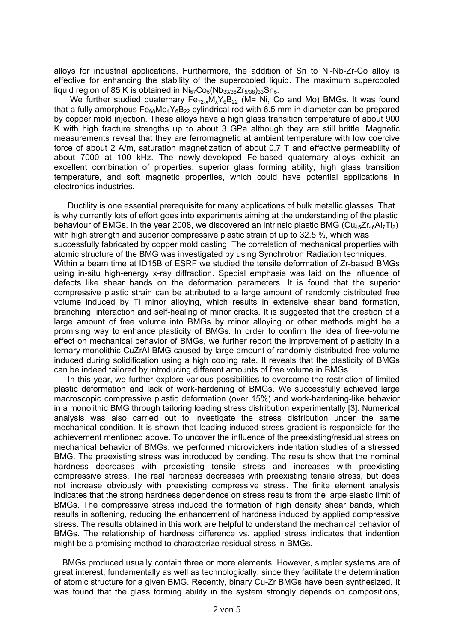alloys for industrial applications. Furthermore, the addition of Sn to Ni-Nb-Zr-Co alloy is effective for enhancing the stability of the supercooled liquid. The maximum supercooled liquid region of 85 K is obtained in  $Ni<sub>57</sub>Co<sub>5</sub>(Nb<sub>33/38</sub>Zr<sub>5/38</sub>)<sub>33</sub>Sn<sub>5</sub>.$ 

We further studied quaternary  $Fe_{72-x}M_xY_6B_{22}$  (M= Ni, Co and Mo) BMGs. It was found that a fully amorphous  $Fe<sub>68</sub>Mo<sub>4</sub>Y<sub>6</sub>B<sub>22</sub>$  cylindrical rod with 6.5 mm in diameter can be prepared by copper mold injection. These alloys have a high glass transition temperature of about 900 K with high fracture strengths up to about 3 GPa although they are still brittle. Magnetic measurements reveal that they are ferromagnetic at ambient temperature with low coercive force of about 2 A/m, saturation magnetization of about 0.7 T and effective permeability of about 7000 at 100 kHz. The newly-developed Fe-based quaternary alloys exhibit an excellent combination of properties: superior glass forming ability, high glass transition temperature, and soft magnetic properties, which could have potential applications in electronics industries.

Ductility is one essential prerequisite for many applications of bulk metallic glasses. That is why currently lots of effort goes into experiments aiming at the understanding of the plastic behaviour of BMGs. In the year 2008, we discovered an intrinsic plastic BMG (Cu<sub>45</sub>Zr<sub>46</sub>Al<sub>7</sub>Ti<sub>2</sub>) with high strength and superior compressive plastic strain of up to 32.5 %, which was successfully fabricated by copper mold casting. The correlation of mechanical properties with atomic structure of the BMG was investigated by using Synchrotron Radiation techniques. Within a beam time at ID15B of ESRF we studied the tensile deformation of Zr-based BMGs using in-situ high-energy x-ray diffraction. Special emphasis was laid on the influence of defects like shear bands on the deformation parameters. It is found that the superior compressive plastic strain can be attributed to a large amount of randomly distributed free volume induced by Ti minor alloying, which results in extensive shear band formation, branching, interaction and self-healing of minor cracks. It is suggested that the creation of a large amount of free volume into BMGs by minor alloying or other methods might be a promising way to enhance plasticity of BMGs. In order to confirm the idea of free-volume effect on mechanical behavior of BMGs, we further report the improvement of plasticity in a ternary monolithic CuZrAl BMG caused by large amount of randomly-distributed free volume induced during solidification using a high cooling rate. It reveals that the plasticity of BMGs can be indeed tailored by introducing different amounts of free volume in BMGs.

In this year, we further explore various possibilities to overcome the restriction of limited plastic deformation and lack of work-hardening of BMGs. We successfully achieved large macroscopic compressive plastic deformation (over 15%) and work-hardening-like behavior in a monolithic BMG through tailoring loading stress distribution experimentally [3]. Numerical analysis was also carried out to investigate the stress distribution under the same mechanical condition. It is shown that loading induced stress gradient is responsible for the achievement mentioned above. To uncover the influence of the preexisting/residual stress on mechanical behavior of BMGs, we performed microvickers indentation studies of a stressed BMG. The preexisting stress was introduced by bending. The results show that the nominal hardness decreases with preexisting tensile stress and increases with preexisting compressive stress. The real hardness decreases with preexisting tensile stress, but does not increase obviously with preexisting compressive stress. The finite element analysis indicates that the strong hardness dependence on stress results from the large elastic limit of BMGs. The compressive stress induced the formation of high density shear bands, which results in softening, reducing the enhancement of hardness induced by applied compressive stress. The results obtained in this work are helpful to understand the mechanical behavior of BMGs. The relationship of hardness difference vs. applied stress indicates that indention might be a promising method to characterize residual stress in BMGs.

BMGs produced usually contain three or more elements. However, simpler systems are of great interest, fundamentally as well as technologically, since they facilitate the determination of atomic structure for a given BMG. Recently, binary Cu-Zr BMGs have been synthesized. It was found that the glass forming ability in the system strongly depends on compositions,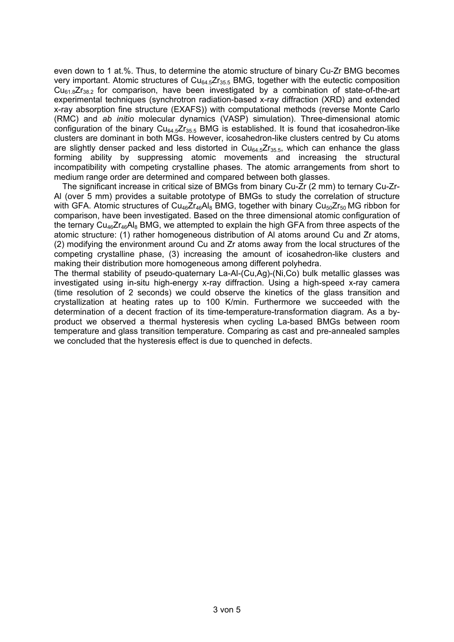even down to 1 at.%. Thus, to determine the atomic structure of binary Cu-Zr BMG becomes very important. Atomic structures of  $Cu<sub>64.5</sub>Zr<sub>35.5</sub>$  BMG, together with the eutectic composition  $Cu_{61.8}Zr_{38.2}$  for comparison, have been investigated by a combination of state-of-the-art experimental techniques (synchrotron radiation-based x-ray diffraction (XRD) and extended x-ray absorption fine structure (EXAFS)) with computational methods (reverse Monte Carlo (RMC) and *ab initio* molecular dynamics (VASP) simulation). Three-dimensional atomic configuration of the binary  $Cu_{64.5}Zr_{35.5}$  BMG is established. It is found that icosahedron-like clusters are dominant in both MGs. However, icosahedron-like clusters centred by Cu atoms are slightly denser packed and less distorted in  $Cu<sub>64.5</sub>Zr<sub>35.5</sub>$ , which can enhance the glass forming ability by suppressing atomic movements and increasing the structural incompatibility with competing crystalline phases. The atomic arrangements from short to medium range order are determined and compared between both glasses.

The significant increase in critical size of BMGs from binary Cu-Zr (2 mm) to ternary Cu-Zr-Al (over 5 mm) provides a suitable prototype of BMGs to study the correlation of structure with GFA. Atomic structures of  $Cu_{46}Zr_{46}Al_{8}$  BMG, together with binary  $Cu_{50}Zr_{50}$  MG ribbon for comparison, have been investigated. Based on the three dimensional atomic configuration of the ternary  $Cu_{46}Zr_{46}Al_{8}$  BMG, we attempted to explain the high GFA from three aspects of the atomic structure: (1) rather homogeneous distribution of Al atoms around Cu and Zr atoms, (2) modifying the environment around Cu and Zr atoms away from the local structures of the competing crystalline phase, (3) increasing the amount of icosahedron-like clusters and making their distribution more homogeneous among different polyhedra.

The thermal stability of pseudo-quaternary La-Al-(Cu,Ag)-(Ni,Co) bulk metallic glasses was investigated using in-situ high-energy x-ray diffraction. Using a high-speed x-ray camera (time resolution of 2 seconds) we could observe the kinetics of the glass transition and crystallization at heating rates up to 100 K/min. Furthermore we succeeded with the determination of a decent fraction of its time-temperature-transformation diagram. As a byproduct we observed a thermal hysteresis when cycling La-based BMGs between room temperature and glass transition temperature. Comparing as cast and pre-annealed samples we concluded that the hysteresis effect is due to quenched in defects.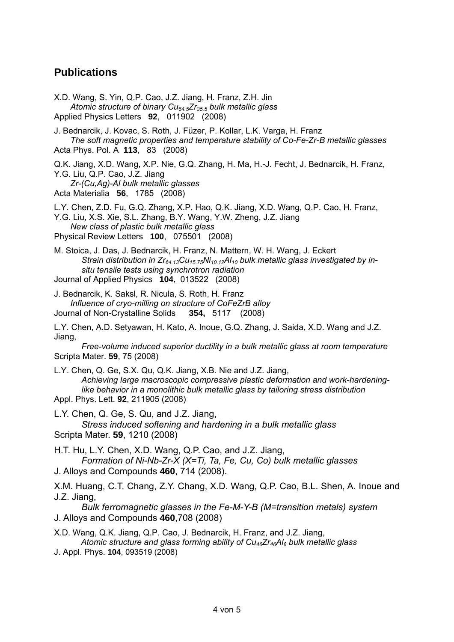## **Publications**

X.D. Wang, S. Yin, Q.P. Cao, J.Z. Jiang, H. Franz, Z.H. Jin *Atomic structure of binary Cu64.5Zr35.5 bulk metallic glass*  Applied Physics Letters **92**, 011902 (2008)

J. Bednarcik, J. Kovac, S. Roth, J. Füzer, P. Kollar, L.K. Varga, H. Franz *The soft magnetic properties and temperature stability of Co-Fe-Zr-B metallic glasses*  Acta Phys. Pol. A **113**, 83 (2008)

Q.K. Jiang, X.D. Wang, X.P. Nie, G.Q. Zhang, H. Ma, H.-J. Fecht, J. Bednarcik, H. Franz, Y.G. Liu, Q.P. Cao, J.Z. Jiang

*Zr-(Cu,Ag)-Al bulk metallic glasses*  Acta Materialia **56**, 1785 (2008)

L.Y. Chen, Z.D. Fu, G.Q. Zhang, X.P. Hao, Q.K. Jiang, X.D. Wang, Q.P. Cao, H. Franz, Y.G. Liu, X.S. Xie, S.L. Zhang, B.Y. Wang, Y.W. Zheng, J.Z. Jiang *New class of plastic bulk metallic glass*  Physical Review Letters **100**, 075501 (2008)

M. Stoica, J. Das, J. Bednarcik, H. Franz, N. Mattern, W. H. Wang, J. Eckert Strain distribution in Zr<sub>64.13</sub>Cu<sub>15.75</sub>Ni<sub>10.12</sub>Al<sub>10</sub> bulk metallic glass investigated by in*situ tensile tests using synchrotron radiation*  Journal of Applied Physics **104**, 013522 (2008)

J. Bednarcik, K. Saksl, R. Nicula, S. Roth, H. Franz *Influence of cryo-milling on structure of CoFeZrB alloy*  Journal of Non-Crystalline Solids **354,** 5117 (2008)

L.Y. Chen, A.D. Setyawan, H. Kato, A. Inoue, G.Q. Zhang, J. Saida, X.D. Wang and J.Z. Jiang,

*Free-volume induced superior ductility in a bulk metallic glass at room temperature* Scripta Mater. **59**, 75 (2008)

L.Y. Chen, Q. Ge, S.X. Qu, Q.K. Jiang, X.B. Nie and J.Z. Jiang, *Achieving large macroscopic compressive plastic deformation and work-hardeninglike behavior in a monolithic bulk metallic glass by tailoring stress distribution* Appl. Phys. Lett. **92**, 211905 (2008)

L.Y. Chen, Q. Ge, S. Qu, and J.Z. Jiang, *Stress induced softening and hardening in a bulk metallic glass* Scripta Mater. **59**, 1210 (2008)

H.T. Hu, L.Y. Chen, X.D. Wang, Q.P. Cao, and J.Z. Jiang, *Formation of Ni-Nb-Zr-X (X=Ti, Ta, Fe, Cu, Co) bulk metallic glasses* J. Alloys and Compounds **460**, 714 (2008).

X.M. Huang, C.T. Chang, Z.Y. Chang, X.D. Wang, Q.P. Cao, B.L. Shen, A. Inoue and J.Z. Jiang,

*Bulk ferromagnetic glasses in the Fe-M-Y-B (M=transition metals) system* J. Alloys and Compounds **460**,708 (2008)

- X.D. Wang, Q.K. Jiang, Q.P. Cao, J. Bednarcik, H. Franz, and J.Z. Jiang,  *Atomic structure and glass forming ability of Cu46Zr46Al8 bulk metallic glass*
- J. Appl. Phys. **104**, 093519 (2008)